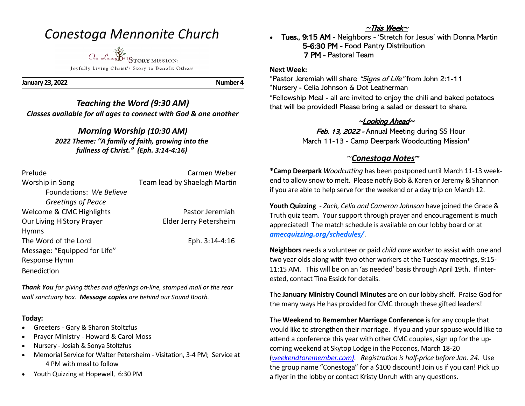# *Conestoga Mennonite Church*

*Our Living* HISTORY MISSION: Joyfully Living Christ's Story to Benefit Others

**January 23, 2022 Number 4**

*Teaching the Word (9:30 AM) Classes available for all ages to connect with God & one another*

## *Morning Worship (10:30 AM) 2022 Theme: "A family of faith, growing into the*

*fullness of Christ." (Eph. 3:14-4:16)*

| Prelude                      | Carmen Weber                 |
|------------------------------|------------------------------|
| Worship in Song              | Team lead by Shaelagh Martin |
| Foundations: We Believe      |                              |
| Greetings of Peace           |                              |
| Welcome & CMC Highlights     | Pastor Jeremiah              |
| Our Living HiStory Prayer    | Elder Jerry Petersheim       |
| <b>Hymns</b>                 |                              |
| The Word of the Lord         | Eph. 3:14-4:16               |
| Message: "Equipped for Life" |                              |
| Response Hymn                |                              |
| <b>Benediction</b>           |                              |

*Thank You for giving tithes and offerings on-line, stamped mail or the rear wall sanctuary box. Message copies are behind our Sound Booth.*

## **Today:**

- Greeters Gary & Sharon Stoltzfus
- Prayer Ministry Howard & Carol Moss
- Nursery Josiah & Sonya Stoltzfus
- Memorial Service for Walter Petersheim Visitation, 3-4 PM; Service at 4 PM with meal to follow
- Youth Quizzing at Hopewell, 6:30 PM

## ~This Week~

• Tues., 9:15 AM - Neighbors - 'Stretch for Jesus' with Donna Martin 5-6:30 PM - Food Pantry Distribution 7 PM - Pastoral Team

### **Next Week:**

\*Pastor Jeremiah will share "Signs of Life" from John 2:1-11 \*Nursery - Celia Johnson & Dot Leatherman \*Fellowship Meal - all are invited to enjoy the chili and baked potatoes that will be provided! Please bring a salad or dessert to share.

## <sup>~</sup>Looking Ahead~

Feb. 13, 2022 - Annual Meeting during SS Hour March 11-13 - Camp Deerpark Woodcutting Mission\*

## ~*Conestoga Notes~*

**\*Camp Deerpark** *Woodcutting* has been postponed until March 11-13 weekend to allow snow to melt. Please notify Bob & Karen or Jeremy & Shannon if you are able to help serve for the weekend or a day trip on March 12.

**Youth Quizzing** - *Zach, Celia and Cameron Johnson* have joined the Grace & Truth quiz team. Your support through prayer and encouragement is much appreciated! The match schedule is available on our lobby board or at *[amecquizzing.org/schedules/](https://amecquizzing.org/schedules/)*.

**Neighbors** needs a volunteer or paid *child care worker* to assist with one and two year olds along with two other workers at the Tuesday meetings, 9:15- 11:15 AM. This will be on an 'as needed' basis through April 19th. If interested, contact Tina Essick for details.

The **January Ministry Council Minutes** are on our lobby shelf. Praise God for the many ways He has provided for CMC through these gifted leaders!

The **Weekend to Remember Marriage Conference** is for any couple that would like to strengthen their marriage. If you and your spouse would like to attend a conference this year with other CMC couples, sign up for the upcoming weekend at Skytop Lodge in the Poconos, March 18-20 (*weekendtoremember.com)*. *Registration is half-price before Jan. 24.* Use the group name "Conestoga" for a \$100 discount! Join us if you can! Pick up a flyer in the lobby or contact Kristy Unruh with any questions.